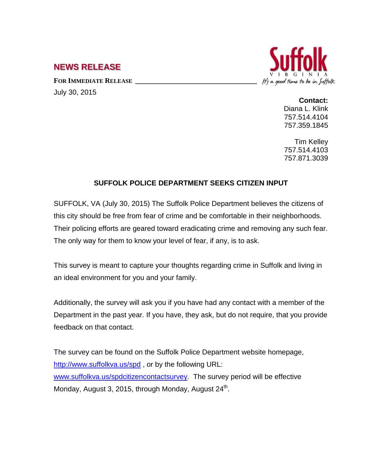## **NEWS RELEASE**

FOR **IMMEDIATE RELEASE** July 30, 2015



**Contact:** Diana L. Klink

757.514.4104 757.359.1845

Tim Kelley 757.514.4103 757.871.3039

## **SUFFOLK POLICE DEPARTMENT SEEKS CITIZEN INPUT**

SUFFOLK, VA (July 30, 2015) [The Suffolk Police Department believes the citizens of](https://www.surveymonkey.com/MySurvey_EditPage.aspx?sm=0gtmBqfpQqzRWM02rTqOfdAkuOuoVelj3amkP9UJW9zspP%2bYfw8TMX4lQ3P8aT87&TB_iframe=true&height=450&width=650)  [this city should be free from fear of crime and be comfortable in their neighborhoods.](https://www.surveymonkey.com/MySurvey_EditPage.aspx?sm=0gtmBqfpQqzRWM02rTqOfdAkuOuoVelj3amkP9UJW9zspP%2bYfw8TMX4lQ3P8aT87&TB_iframe=true&height=450&width=650)  Their [policing efforts are geared toward eradicating crime and removing any such fear.](https://www.surveymonkey.com/MySurvey_EditPage.aspx?sm=0gtmBqfpQqzRWM02rTqOfdAkuOuoVelj3amkP9UJW9zspP%2bYfw8TMX4lQ3P8aT87&TB_iframe=true&height=450&width=650)  The only way for them [to know your level of fear, if any, is to ask.](https://www.surveymonkey.com/MySurvey_EditPage.aspx?sm=0gtmBqfpQqzRWM02rTqOfdAkuOuoVelj3amkP9UJW9zspP%2bYfw8TMX4lQ3P8aT87&TB_iframe=true&height=450&width=650) 

[This survey is meant to capture your thoughts regarding crime in Suffolk and living in](https://www.surveymonkey.com/MySurvey_EditPage.aspx?sm=0gtmBqfpQqzRWM02rTqOfdAkuOuoVelj3amkP9UJW9zspP%2bYfw8TMX4lQ3P8aT87&TB_iframe=true&height=450&width=650)  [an ideal environment for you and your family.](https://www.surveymonkey.com/MySurvey_EditPage.aspx?sm=0gtmBqfpQqzRWM02rTqOfdAkuOuoVelj3amkP9UJW9zspP%2bYfw8TMX4lQ3P8aT87&TB_iframe=true&height=450&width=650)

[Additionally, the survey will ask you if you have had any contact with a member of the](https://www.surveymonkey.com/MySurvey_EditPage.aspx?sm=0gtmBqfpQqzRWM02rTqOfdAkuOuoVelj3amkP9UJW9zspP%2bYfw8TMX4lQ3P8aT87&TB_iframe=true&height=450&width=650)  [Department in the past year. If you have, they](https://www.surveymonkey.com/MySurvey_EditPage.aspx?sm=0gtmBqfpQqzRWM02rTqOfdAkuOuoVelj3amkP9UJW9zspP%2bYfw8TMX4lQ3P8aT87&TB_iframe=true&height=450&width=650) ask, but do not require, that you provide [feedback on that contact.](https://www.surveymonkey.com/MySurvey_EditPage.aspx?sm=0gtmBqfpQqzRWM02rTqOfdAkuOuoVelj3amkP9UJW9zspP%2bYfw8TMX4lQ3P8aT87&TB_iframe=true&height=450&width=650) 

The survey can be found on the Suffolk Police Department website homepage, <http://www.suffolkva.us/spd>, or by the following URL: www.suffolkva.us/spdcitizencontactsurvey</u>. The survey period will be effective Monday, August 3, 2015, through Monday, August 24<sup>th</sup>.